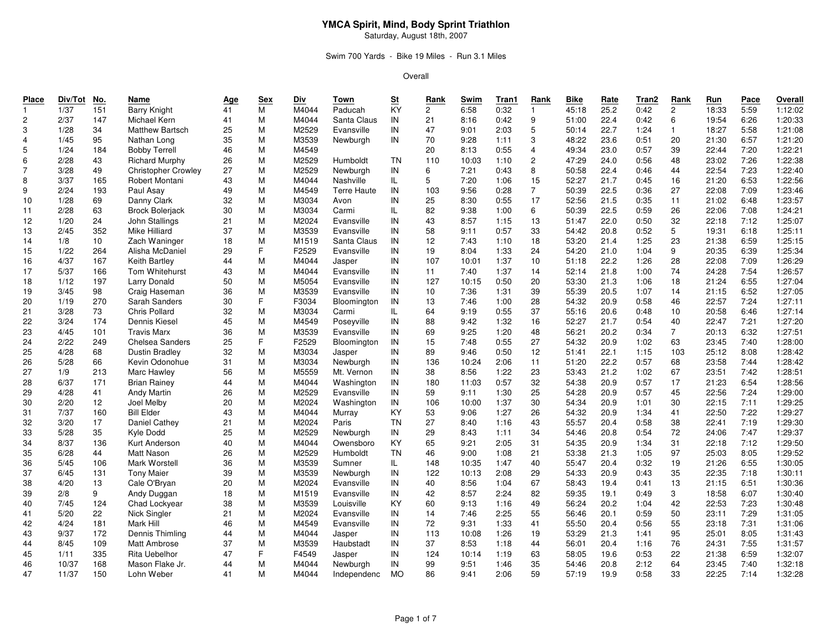### Swim 700 Yards - Bike 19 Miles - Run 3.1 Miles

| Place          | Div/Tot | No. | Name                       | <u>Age</u> | Sex | Div   | Town        | S <sub>t</sub> | Rank            | Swim  | Tran1 | Rank           | <b>Bike</b> | Rate | Tran2 | Rank           | Run   | Pace | Overall |
|----------------|---------|-----|----------------------------|------------|-----|-------|-------------|----------------|-----------------|-------|-------|----------------|-------------|------|-------|----------------|-------|------|---------|
| $\mathbf{1}$   | 1/37    | 151 | <b>Barry Knight</b>        | 41         | M   | M4044 | Paducah     | KY             | $\overline{c}$  | 6:58  | 0:32  | $\mathbf{1}$   | 45:18       | 25.2 | 0:42  | $\mathbf{2}$   | 18:33 | 5:59 | 1:12:02 |
| $\overline{c}$ | 2/37    | 147 | Michael Kern               | 41         | M   | M4044 | Santa Claus | IN             | 21              | 8:16  | 0:42  | 9              | 51:00       | 22.4 | 0:42  | 6              | 19:54 | 6:26 | 1:20:33 |
| 3              | 1/28    | 34  | Matthew Bartsch            | 25         | M   | M2529 | Evansville  | IN             | 47              | 9:01  | 2:03  | 5              | 50:14       | 22.7 | 1:24  | $\mathbf{1}$   | 18:27 | 5:58 | 1:21:08 |
| $\overline{4}$ | 1/45    | 95  | Nathan Long                | 35         | M   | M3539 | Newburgh    | IN             | 70              | 9:28  | 1:11  | 3              | 48:22       | 23.6 | 0:51  | 20             | 21:30 | 6:57 | 1:21:20 |
| 5              | 1/24    | 184 | <b>Bobby Terrell</b>       | 46         | M   | M4549 |             |                | 20              | 8:13  | 0:55  | $\overline{4}$ | 49:34       | 23.0 | 0:57  | 39             | 22:44 | 7:20 | 1:22:21 |
| 6              | 2/28    | 43  | <b>Richard Murphy</b>      | 26         | M   | M2529 | Humboldt    | TN             | 110             | 10:03 | 1:10  | $\overline{c}$ | 47:29       | 24.0 | 0:56  | 48             | 23:02 | 7:26 | 1:22:38 |
| $\overline{7}$ | 3/28    | 49  | <b>Christopher Crowley</b> | 27         | M   | M2529 | Newburgh    | IN             | 6               | 7:21  | 0:43  | 8              | 50:58       | 22.4 | 0:46  | 44             | 22:54 | 7:23 | 1:22:40 |
| 8              | 3/37    | 165 | Robert Montani             | 43         | M   | M4044 | Nashville   | IL             | 5               | 7:20  | 1:06  | 15             | 52:27       | 21.7 | 0:45  | 16             | 21:20 | 6:53 | 1:22:56 |
| 9              | 2/24    | 193 | Paul Asay                  | 49         | M   | M4549 | Terre Haute | IN             | 103             | 9:56  | 0:28  | $\overline{7}$ | 50:39       | 22.5 | 0:36  | 27             | 22:08 | 7:09 | 1:23:46 |
| 10             | 1/28    | 69  | Danny Clark                | 32         | M   | M3034 | Avon        | IN             | 25              | 8:30  | 0:55  | 17             | 52:56       | 21.5 | 0:35  | 11             | 21:02 | 6:48 | 1:23:57 |
| 11             | 2/28    | 63  | <b>Brock Bolerjack</b>     | 30         | M   | M3034 | Carmi       | IL.            | 82              | 9:38  | 1:00  | 6              | 50:39       | 22.5 | 0:59  | 26             | 22:06 | 7:08 | 1:24:21 |
| 12             | 1/20    | 24  | John Stallings             | 21         | M   | M2024 | Evansville  | IN             | 43              | 8:57  | 1:15  | 13             | 51:47       | 22.0 | 0:50  | 32             | 22:18 | 7:12 | 1:25:07 |
| 13             | 2/45    | 352 | Mike Hilliard              | 37         | M   | M3539 | Evansville  | IN             | 58              | 9:11  | 0:57  | 33             | 54:42       | 20.8 | 0:52  | 5              | 19:31 | 6:18 | 1:25:11 |
| 14             | 1/8     | 10  | Zach Waninger              | 18         | M   | M1519 | Santa Claus | IN             | 12              | 7:43  | 1:10  | 18             | 53:20       | 21.4 | 1:25  | 23             | 21:38 | 6:59 | 1:25:15 |
| 15             | 1/22    | 264 | Alisha McDaniel            | 29         | F   | F2529 | Evansville  | IN             | 19              | 8:04  | 1:33  | 24             | 54:20       | 21.0 | 1:04  | 9              | 20:35 | 6:39 | 1:25:34 |
| 16             | 4/37    | 167 | Keith Bartley              | 44         | M   | M4044 | Jasper      | IN             | 107             | 10:01 | 1:37  | 10             | 51:18       | 22.2 | 1:26  | 28             | 22:08 | 7:09 | 1:26:29 |
| 17             | 5/37    | 166 | Tom Whitehurst             | 43         | M   | M4044 | Evansville  | IN             | 11              | 7:40  | 1:37  | 14             | 52:14       | 21.8 | 1:00  | 74             | 24:28 | 7:54 | 1:26:57 |
| 18             | 1/12    | 197 | <b>Larry Donald</b>        | 50         | M   | M5054 | Evansville  | IN             | 127             | 10:15 | 0:50  | 20             | 53:30       | 21.3 | 1:06  | 18             | 21:24 | 6:55 | 1:27:04 |
| 19             | 3/45    | 98  | Craig Haseman              | 36         | M   | M3539 | Evansville  | IN             | 10 <sup>1</sup> | 7:36  | 1:31  | 39             | 55:39       | 20.5 | 1:07  | 14             | 21:15 | 6:52 | 1:27:05 |
| 20             | 1/19    | 270 | Sarah Sanders              | 30         | F   | F3034 | Bloomington | IN             | 13              | 7:46  | 1:00  | 28             | 54:32       | 20.9 | 0:58  | 46             | 22:57 | 7:24 | 1:27:11 |
| 21             | 3/28    | 73  | <b>Chris Pollard</b>       | 32         | M   | M3034 | Carmi       | IL.            | 64              | 9:19  | 0:55  | 37             | 55:16       | 20.6 | 0:48  | 10             | 20:58 | 6:46 | 1:27:14 |
| 22             | 3/24    | 174 | Dennis Kiesel              | 45         | M   | M4549 | Poseyville  | IN             | 88              | 9:42  | 1:32  | 16             | 52:27       | 21.7 | 0:54  | 40             | 22:47 | 7:21 | 1:27:20 |
| 23             | 4/45    | 101 | <b>Travis Marx</b>         | 36         | M   | M3539 | Evansville  | IN             | 69              | 9:25  | 1:20  | 48             | 56:21       | 20.2 | 0:34  | $\overline{7}$ | 20:13 | 6:32 | 1:27:51 |
| 24             | 2/22    | 249 | Chelsea Sanders            | 25         | F.  | F2529 | Bloomington | IN             | 15              | 7:48  | 0:55  | 27             | 54:32       | 20.9 | 1:02  | 63             | 23:45 | 7:40 | 1:28:00 |
| 25             | 4/28    | 68  | <b>Dustin Bradley</b>      | 32         | M   | M3034 | Jasper      | IN             | 89              | 9:46  | 0:50  | 12             | 51:41       | 22.1 | 1:15  | 103            | 25:12 | 8:08 | 1:28:42 |
| 26             | 5/28    | 66  | Kevin Odonohue             | 31         | M   | M3034 | Newburgh    | IN             | 136             | 10:24 | 2:06  | 11             | 51:20       | 22.2 | 0:57  | 68             | 23:58 | 7:44 | 1:28:42 |
| 27             | 1/9     | 213 | Marc Hawley                | 56         | M   | M5559 | Mt. Vernon  | IN             | 38              | 8:56  | 1:22  | 23             | 53:43       | 21.2 | 1:02  | 67             | 23:51 | 7:42 | 1:28:51 |
| 28             | 6/37    | 171 | <b>Brian Rainey</b>        | 44         | M   | M4044 | Washington  | IN             | 180             | 11:03 | 0:57  | 32             | 54:38       | 20.9 | 0:57  | 17             | 21:23 | 6:54 | 1:28:56 |
| 29             | 4/28    | 41  | <b>Andy Martin</b>         | 26         | M   | M2529 | Evansville  | IN             | 59              | 9:11  | 1:30  | 25             | 54:28       | 20.9 | 0:57  | 45             | 22:56 | 7:24 | 1:29:00 |
| 30             | 2/20    | 12  | Joel Melby                 | 20         | M   | M2024 | Washington  | IN             | 106             | 10:00 | 1:37  | 30             | 54:34       | 20.9 | 1:01  | 30             | 22:15 | 7:11 | 1:29:25 |
| 31             | 7/37    | 160 | <b>Bill Elder</b>          | 43         | M   | M4044 | Murray      | KY             | 53              | 9:06  | 1:27  | 26             | 54:32       | 20.9 | 1:34  | 41             | 22:50 | 7:22 | 1:29:27 |
| 32             | 3/20    | 17  | Daniel Cathey              | 21         | M   | M2024 | Paris       | TN             | 27              | 8:40  | 1:16  | 43             | 55:57       | 20.4 | 0:58  | 38             | 22:41 | 7:19 | 1:29:30 |
| 33             | 5/28    | 35  | Kyle Dodd                  | 25         | M   | M2529 | Newburgh    | IN             | 29              | 8:43  | 1:11  | 34             | 54:46       | 20.8 | 0:54  | 72             | 24:06 | 7:47 | 1:29:37 |
| 34             | 8/37    | 136 | Kurt Anderson              | 40         | M   | M4044 | Owensboro   | KY             | 65              | 9:21  | 2:05  | 31             | 54:35       | 20.9 | 1:34  | 31             | 22:18 | 7:12 | 1:29:50 |
| 35             | 6/28    | 44  | <b>Matt Nason</b>          | 26         | M   | M2529 | Humboldt    | <b>TN</b>      | 46              | 9:00  | 1:08  | 21             | 53:38       | 21.3 | 1:05  | 97             | 25:03 | 8:05 | 1:29:52 |
| 36             | 5/45    | 106 | Mark Worstell              | 36         | M   | M3539 | Sumner      | IL             | 148             | 10:35 | 1:47  | 40             | 55:47       | 20.4 | 0:32  | 19             | 21:26 | 6:55 | 1:30:05 |
| 37             | 6/45    | 131 | <b>Tony Maier</b>          | 39         | M   | M3539 | Newburgh    | IN             | 122             | 10:13 | 2:08  | 29             | 54:33       | 20.9 | 0:43  | 35             | 22:35 | 7:18 | 1:30:11 |
| 38             | 4/20    | 13  | Cale O'Bryan               | 20         | M   | M2024 | Evansville  | IN             | 40              | 8:56  | 1:04  | 67             | 58:43       | 19.4 | 0:41  | 13             | 21:15 | 6:51 | 1:30:36 |
| 39             | 2/8     | 9   | Andy Duggan                | 18         | M   | M1519 | Evansville  | IN             | 42              | 8:57  | 2:24  | 82             | 59:35       | 19.1 | 0:49  | 3              | 18:58 | 6:07 | 1:30:40 |
| 40             | 7/45    | 124 | Chad Lockyear              | 38         | M   | M3539 | Louisville  | KY             | 60              | 9:13  | 1:16  | 49             | 56:24       | 20.2 | 1:04  | 42             | 22:53 | 7:23 | 1:30:48 |
| 41             | 5/20    | 22  | Nick Singler               | 21         | M   | M2024 | Evansville  | IN             | 14              | 7:46  | 2:25  | 55             | 56:46       | 20.1 | 0:59  | 50             | 23:11 | 7:29 | 1:31:05 |
| 42             | 4/24    | 181 | Mark Hill                  | 46         | M   | M4549 | Evansville  | IN             | 72              | 9:31  | 1:33  | 41             | 55:50       | 20.4 | 0:56  | 55             | 23:18 | 7:31 | 1:31:06 |
| 43             | 9/37    | 172 | Dennis Thimling            | 44         | M   | M4044 | Jasper      | IN             | 113             | 10:08 | 1:26  | 19             | 53:29       | 21.3 | 1:41  | 95             | 25:01 | 8:05 | 1:31:43 |
| 44             | 8/45    | 109 | Matt Ambrose               | 37         | M   | M3539 | Haubstadt   | IN             | 37              | 8:53  | 1:18  | 44             | 56:01       | 20.4 | 1:16  | 76             | 24:31 | 7:55 | 1:31:57 |
| 45             | 1/11    | 335 | Rita Uebelhor              | 47         | F   | F4549 | Jasper      | IN             | 124             | 10:14 | 1:19  | 63             | 58:05       | 19.6 | 0:53  | 22             | 21:38 | 6:59 | 1:32:07 |
| 46             | 10/37   | 168 | Mason Flake Jr.            | 44         | M   | M4044 | Newburgh    | IN             | 99              | 9:51  | 1:46  | 35             | 54:46       | 20.8 | 2:12  | 64             | 23:45 | 7:40 | 1:32:18 |
| 47             | 11/37   | 150 | Lohn Weber                 | 41         | M   | M4044 | Independenc | <b>MO</b>      | 86              | 9:41  | 2:06  | 59             | 57:19       | 19.9 | 0:58  | 33             | 22:25 | 7:14 | 1:32:28 |
|                |         |     |                            |            |     |       |             |                |                 |       |       |                |             |      |       |                |       |      |         |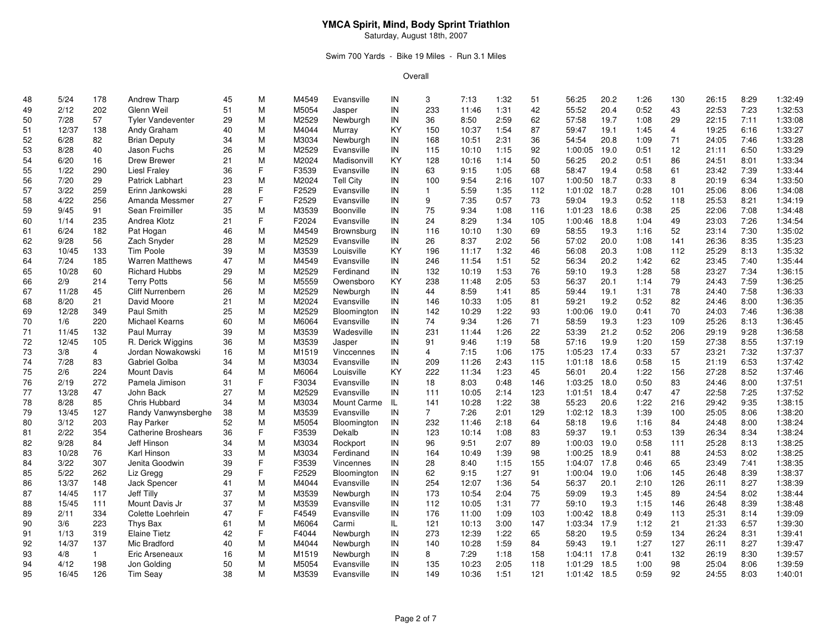### Swim 700 Yards - Bike 19 Miles - Run 3.1 Miles

| 48 | 5/24  | 178            | Andrew Tharp               | 45 | М  | M4549 | Evansville       | IN | 3              | 7:13  | 1:32 | 51  | 56:25        | 20.2 | 1:26 | 130            | 26:15 | 8:29 | 1:32:49 |
|----|-------|----------------|----------------------------|----|----|-------|------------------|----|----------------|-------|------|-----|--------------|------|------|----------------|-------|------|---------|
| 49 | 2/12  | 202            | Glenn Weil                 | 51 | M  | M5054 | Jasper           | IN | 233            | 11:46 | 1:31 | 42  | 55:52        | 20.4 | 0:52 | 43             | 22:53 | 7:23 | 1:32:53 |
| 50 | 7/28  | 57             | <b>Tyler Vandeventer</b>   | 29 | M  | M2529 | Newburgh         | IN | 36             | 8:50  | 2:59 | 62  | 57:58        | 19.7 | 1:08 | 29             | 22:15 | 7:11 | 1:33:08 |
| 51 | 12/37 | 138            | Andy Graham                | 40 | M  | M4044 | Murray           | KY | 150            | 10:37 | 1:54 | 87  | 59:47        | 19.1 | 1:45 | $\overline{4}$ | 19:25 | 6:16 | 1:33:27 |
| 52 | 6/28  | 82             | <b>Brian Deputy</b>        | 34 | M  | M3034 | Newburgh         | IN | 168            | 10:51 | 2:31 | 36  | 54:54        | 20.8 | 1:09 | 71             | 24:05 | 7:46 | 1:33:28 |
| 53 | 8/28  | 40             | Jason Fuchs                | 26 | M  | M2529 | Evansville       | IN | 115            | 10:10 | 1:15 | 92  | 1:00:05      | 19.0 | 0:51 | 12             | 21:11 | 6:50 | 1:33:29 |
| 54 | 6/20  | 16             | <b>Drew Brewer</b>         | 21 | M  | M2024 | Madisonvill      | KY | 128            | 10:16 | 1:14 | 50  | 56:25        | 20.2 | 0:51 | 86             | 24:51 | 8:01 | 1:33:34 |
| 55 | 1/22  | 290            | <b>Liesl Fraley</b>        | 36 | F. | F3539 | Evansville       | IN | 63             | 9:15  | 1:05 | 68  | 58:47        | 19.4 | 0:58 | 61             | 23:42 | 7:39 | 1:33:44 |
| 56 | 7/20  | 29             | Patrick Labhart            | 23 | M  | M2024 | <b>Tell City</b> | IN | 100            | 9:54  | 2:16 | 107 | 1:00:50      | 18.7 | 0:33 | 8              | 20:19 | 6:34 | 1:33:50 |
| 57 | 3/22  | 259            | Erinn Jankowski            | 28 | F. | F2529 | Evansville       | IN | $\mathbf{1}$   | 5:59  | 1:35 | 112 | 1:01:02      | 18.7 | 0:28 | 101            | 25:06 | 8:06 | 1:34:08 |
| 58 | 4/22  | 256            | Amanda Messmer             | 27 | F  | F2529 | Evansville       | IN | 9              | 7:35  | 0:57 | 73  | 59:04        | 19.3 | 0:52 | 118            | 25:53 | 8:21 | 1:34:19 |
| 59 | 9/45  | 91             | Sean Freimiller            | 35 | M  | M3539 | Boonville        | IN | 75             | 9:34  | 1:08 | 116 | 1:01:23      | 18.6 | 0:38 | 25             | 22:06 | 7:08 | 1:34:48 |
| 60 | 1/14  | 235            | Andrea Klotz               | 21 | F  | F2024 | Evansville       | IN | 24             | 8:29  | 1:34 | 105 | 1:00:46      | 18.8 | 1:04 | 49             | 23:03 | 7:26 | 1:34:54 |
| 61 | 6/24  | 182            | Pat Hogan                  | 46 | M  | M4549 | Brownsburg       | IN | 116            | 10:10 | 1:30 | 69  | 58:55        | 19.3 | 1:16 | 52             | 23:14 | 7:30 | 1:35:02 |
| 62 | 9/28  | 56             | Zach Snyder                | 28 | M  | M2529 | Evansville       | IN | 26             | 8:37  | 2:02 | 56  | 57:02        | 20.0 | 1:08 | 141            | 26:36 | 8:35 | 1:35:23 |
| 63 | 10/45 | 133            | Tim Poole                  | 39 | M  | M3539 | Louisville       | KY | 196            | 11:17 | 1:32 | 46  | 56:08        | 20.3 | 1:08 | 112            | 25:29 | 8:13 | 1:35:32 |
| 64 | 7/24  | 185            | <b>Warren Matthews</b>     | 47 | M  | M4549 | Evansville       | IN | 246            | 11:54 | 1:51 | 52  | 56:34        | 20.2 | 1:42 | 62             | 23:45 | 7:40 | 1:35:44 |
| 65 | 10/28 | 60             | <b>Richard Hubbs</b>       | 29 | M  | M2529 | Ferdinand        | IN | 132            | 10:19 | 1:53 | 76  | 59:10        | 19.3 | 1:28 | 58             | 23:27 | 7:34 | 1:36:15 |
| 66 | 2/9   | 214            | <b>Terry Potts</b>         | 56 | M  | M5559 | Owensboro        | KY | 238            | 11:48 | 2:05 | 53  | 56:37        | 20.1 | 1:14 | 79             | 24:43 | 7:59 | 1:36:25 |
| 67 | 11/28 | 45             | Cliff Nurrenbern           | 26 | M  | M2529 | Newburgh         | IN | 44             | 8:59  | 1:41 | 85  | 59:44        | 19.1 | 1:31 | 78             | 24:40 | 7:58 | 1:36:33 |
| 68 | 8/20  | 21             | David Moore                | 21 | M  | M2024 | Evansville       | IN | 146            | 10:33 | 1:05 | 81  | 59:21        | 19.2 | 0:52 | 82             | 24:46 | 8:00 | 1:36:35 |
| 69 | 12/28 | 349            | Paul Smith                 | 25 | M  | M2529 | Bloomington      | IN | 142            | 10:29 | 1:22 | 93  | 1:00:06      | 19.0 | 0:41 | 70             | 24:03 | 7:46 | 1:36:38 |
| 70 | 1/6   | 220            | Michael Kearns             | 60 | M  | M6064 | Evansville       | IN | 74             | 9:34  | 1:26 | 71  | 58:59        | 19.3 | 1:23 | 109            | 25:26 | 8:13 | 1:36:45 |
| 71 | 11/45 | 132            | Paul Murray                | 39 | M  | M3539 | Wadesville       | IN | 231            | 11:44 | 1:26 | 22  | 53:39        | 21.2 | 0:52 | 206            | 29:19 | 9:28 | 1:36:58 |
| 72 | 12/45 | 105            | R. Derick Wiggins          | 36 | M  | M3539 | Jasper           | IN | 91             | 9:46  | 1:19 | 58  | 57:16        | 19.9 | 1:20 | 159            | 27:38 | 8:55 | 1:37:19 |
| 73 | 3/8   | $\overline{4}$ | Jordan Nowakowski          | 16 | M  | M1519 | Vinccennes       | IN | $\overline{4}$ | 7:15  | 1:06 | 175 | 1:05:23      | 17.4 | 0:33 | 57             | 23:21 | 7:32 | 1:37:37 |
| 74 | 7/28  | 83             | Gabriel Golba              | 34 | M  | M3034 | Evansville       | IN | 209            | 11:26 | 2:43 | 115 | 1:01:18      | 18.6 | 0:58 | 15             | 21:19 | 6:53 | 1:37:42 |
| 75 | 2/6   | 224            | <b>Mount Davis</b>         | 64 | M  | M6064 | Louisville       | KY | 222            | 11:34 | 1:23 | 45  | 56:01        | 20.4 | 1:22 | 156            | 27:28 | 8:52 | 1:37:46 |
| 76 | 2/19  | 272            | Pamela Jimison             | 31 | F  | F3034 | Evansville       | IN | 18             | 8:03  | 0:48 | 146 | 1:03:25      | 18.0 | 0:50 | 83             | 24:46 | 8:00 | 1:37:51 |
| 77 | 13/28 | 47             | John Back                  | 27 | M  | M2529 | Evansville       | IN | 111            | 10:05 | 2:14 | 123 | 1:01:51      | 18.4 | 0:47 | 47             | 22:58 | 7:25 | 1:37:52 |
| 78 | 8/28  | 85             | Chris Hubbard              | 34 | M  | M3034 | Mount Carme IL   |    | 141            | 10:28 | 1:22 | 38  | 55:23        | 20.6 | 1:22 | 216            | 29:42 | 9:35 | 1:38:15 |
| 79 | 13/45 | 127            | Randy Vanwynsberghe        | 38 | M  | M3539 | Evansville       | IN | $7^{\circ}$    | 7:26  | 2:01 | 129 | 1:02:12 18.3 |      | 1:39 | 100            | 25:05 | 8:06 | 1:38:20 |
| 80 | 3/12  | 203            | Ray Parker                 | 52 | M  | M5054 | Bloomington      | IN | 232            | 11:46 | 2:18 | 64  | 58:18        | 19.6 | 1:16 | 84             | 24:48 | 8:00 | 1:38:24 |
| 81 | 2/22  | 354            | <b>Catherine Broshears</b> | 36 | F  | F3539 | Dekalb           | IN | 123            | 10:14 | 1:08 | 83  | 59:37        | 19.1 | 0:53 | 139            | 26:34 | 8:34 | 1:38:24 |
| 82 | 9/28  | 84             | Jeff Hinson                | 34 | M  | M3034 | Rockport         | IN | 96             | 9:51  | 2:07 | 89  | 1:00:03      | 19.0 | 0:58 | 111            | 25:28 | 8:13 | 1:38:25 |
| 83 | 10/28 | 76             | Karl Hinson                | 33 | M  | M3034 | Ferdinand        | IN | 164            | 10:49 | 1:39 | 98  | 1:00:25      | 18.9 | 0:41 | 88             | 24:53 | 8:02 | 1:38:25 |
| 84 | 3/22  | 307            | Jenita Goodwin             | 39 | F. | F3539 | Vincennes        | IN | 28             | 8:40  | 1:15 | 155 | 1:04:07      | 17.8 | 0:46 | 65             | 23:49 | 7:41 | 1:38:35 |
| 85 | 5/22  | 262            | Liz Gregg                  | 29 | F  | F2529 | Bloomington      | IN | 62             | 9:15  | 1:27 | 91  | 1:00:04      | 19.0 | 1:06 | 145            | 26:48 | 8:39 | 1:38:37 |
| 86 | 13/37 | 148            | <b>Jack Spencer</b>        | 41 | M  | M4044 | Evansville       | IN | 254            | 12:07 | 1:36 | 54  | 56:37        | 20.1 | 2:10 | 126            | 26:11 | 8:27 | 1:38:39 |
| 87 | 14/45 | 117            | <b>Jeff Tilly</b>          | 37 | M  | M3539 | Newburgh         | IN | 173            | 10:54 | 2:04 | 75  | 59:09        | 19.3 | 1:45 | 89             | 24:54 | 8:02 | 1:38:44 |
| 88 | 15/45 | 111            | Mount Davis Jr             | 37 | M  | M3539 | Evansville       | IN | 112            | 10:05 | 1:31 | 77  | 59:10        | 19.3 | 1:15 | 146            | 26:48 | 8:39 | 1:38:48 |
| 89 | 2/11  | 334            | Colette Loehrlein          | 47 | F  | F4549 | Evansville       | IN | 176            | 11:00 | 1:09 | 103 | 1:00:42      | 18.8 | 0:49 | 113            | 25:31 | 8:14 | 1:39:09 |
| 90 | 3/6   | 223            | Thys Bax                   | 61 | M  | M6064 | Carmi            | IL | 121            | 10:13 | 3:00 | 147 | 1:03:34      | 17.9 | 1:12 | 21             | 21:33 | 6:57 | 1:39:30 |
| 91 | 1/13  | 319            | Elaine Tietz               | 42 | F  | F4044 | Newburgh         | IN | 273            | 12:39 | 1:22 | 65  | 58:20        | 19.5 | 0:59 | 134            | 26:24 | 8:31 | 1:39:41 |
| 92 | 14/37 | 137            | Mic Bradford               | 40 | M  | M4044 | Newburgh         | IN | 140            | 10:28 | 1:59 | 84  | 59:43        | 19.1 | 1:27 | 127            | 26:11 | 8:27 | 1:39:47 |
| 93 | 4/8   | $\mathbf{1}$   | Eric Arseneaux             | 16 | M  | M1519 | Newburgh         | IN | 8              | 7:29  | 1:18 | 158 | 1:04:11      | 17.8 | 0:41 | 132            | 26:19 | 8:30 | 1:39:57 |
| 94 | 4/12  | 198            | Jon Golding                | 50 | M  | M5054 | Evansville       | IN | 135            | 10:23 | 2:05 | 118 | 1:01:29      | 18.5 | 1:00 | 98             | 25:04 | 8:06 | 1:39:59 |
| 95 | 16/45 | 126            | <b>Tim Seav</b>            | 38 | М  | M3539 | Evansville       | IN | 149            | 10:36 | 1:51 | 121 | 1:01:42 18.5 |      | 0:59 | 92             | 24:55 | 8:03 | 1:40:01 |
|    |       |                |                            |    |    |       |                  |    |                |       |      |     |              |      |      |                |       |      |         |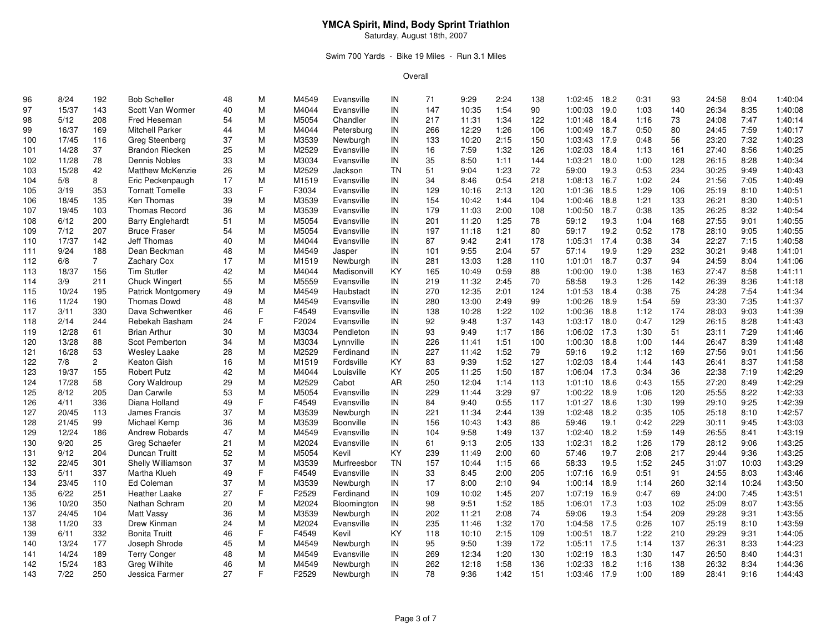### Swim 700 Yards - Bike 19 Miles - Run 3.1 Miles

| 96  | 8/24  | 192            | <b>Bob Scheller</b>       | 48 | М  | M4549 | Evansville  | IN        | 71  | 9:29  | 2:24 | 138 | 1:02:45      | 18.2 | 0:31 | 93  | 24:58 | 8:04  | 1:40:04 |
|-----|-------|----------------|---------------------------|----|----|-------|-------------|-----------|-----|-------|------|-----|--------------|------|------|-----|-------|-------|---------|
| 97  | 15/37 | 143            | Scott Van Wormer          | 40 | M  | M4044 | Evansville  | IN        | 147 | 10:35 | 1:54 | 90  | 1:00:03 19.0 |      | 1:03 | 140 | 26:34 | 8:35  | 1:40:08 |
| 98  | 5/12  | 208            | Fred Heseman              | 54 | M  | M5054 | Chandler    | IN        | 217 | 11:31 | 1:34 | 122 | 1:01:48      | 18.4 | 1:16 | 73  | 24:08 | 7:47  | 1:40:14 |
| 99  | 16/37 | 169            | Mitchell Parker           | 44 | M  | M4044 | Petersburg  | IN        | 266 | 12:29 | 1:26 | 106 | 1:00:49      | 18.7 | 0:50 | 80  | 24:45 | 7:59  | 1:40:17 |
| 100 | 17/45 | 116            | <b>Greg Steenberg</b>     | 37 | M  | M3539 | Newburgh    | IN        | 133 | 10:20 | 2:15 | 150 | 1:03:43 17.9 |      | 0:48 | 56  | 23:20 | 7:32  | 1:40:23 |
| 101 | 14/28 | 37             | <b>Brandon Riecken</b>    | 25 | M  | M2529 | Evansville  | IN        | 16  | 7:59  | 1:32 | 126 | 1:02:03      | 18.4 | 1:13 | 161 | 27:40 | 8:56  | 1:40:25 |
| 102 | 11/28 | 78             | Dennis Nobles             | 33 | M  | M3034 | Evansville  | IN        | 35  | 8:50  | 1:11 | 144 | 1:03:21      | 18.0 | 1:00 | 128 | 26:15 | 8:28  | 1:40:34 |
| 103 | 15/28 | 42             | <b>Matthew McKenzie</b>   | 26 | M  | M2529 | Jackson     | <b>TN</b> | 51  | 9:04  | 1:23 | 72  | 59:00        | 19.3 | 0:53 | 234 | 30:25 | 9:49  | 1:40:43 |
| 104 | 5/8   | 8              | Eric Peckenpaugh          | 17 | M  | M1519 | Evansville  | IN        | 34  | 8:46  | 0:54 | 218 | 1:08:13 16.7 |      | 1:02 | 24  | 21:56 | 7:05  | 1:40:49 |
| 105 | 3/19  | 353            | <b>Tornatt Tomelle</b>    | 33 | F. | F3034 | Evansville  | IN        | 129 | 10:16 | 2:13 | 120 | 1:01:36      | 18.5 | 1:29 | 106 | 25:19 | 8:10  | 1:40:51 |
| 106 | 18/45 | 135            | Ken Thomas                | 39 | M  | M3539 | Evansville  | IN        | 154 | 10:42 | 1:44 | 104 | 1:00:46      | 18.8 | 1:21 | 133 | 26:21 | 8:30  | 1:40:51 |
| 107 | 19/45 | 103            | <b>Thomas Record</b>      | 36 | M  | M3539 | Evansville  | IN        | 179 | 11:03 | 2:00 | 108 | 1:00:50      | 18.7 | 0:38 | 135 | 26:25 | 8:32  | 1:40:54 |
| 108 | 6/12  | 200            | <b>Barry Englehardt</b>   | 51 | M  | M5054 | Evansville  | IN        | 201 | 11:20 | 1:25 | 78  | 59:12        | 19.3 | 1:04 | 168 | 27:55 | 9:01  | 1:40:55 |
| 109 | 7/12  | 207            | <b>Bruce Fraser</b>       | 54 | M  | M5054 | Evansville  | IN        | 197 | 11:18 | 1:21 | 80  | 59:17        | 19.2 | 0:52 | 178 | 28:10 | 9:05  | 1:40:55 |
| 110 | 17/37 | 142            | <b>Jeff Thomas</b>        | 40 | M  | M4044 | Evansville  | IN        | 87  | 9:42  | 2:41 | 178 | 1:05:31      | 17.4 | 0:38 | 34  | 22:27 | 7:15  | 1:40:58 |
| 111 | 9/24  | 188            | Dean Beckman              | 48 | M  | M4549 | Jasper      | IN        | 101 | 9:55  | 2:04 | 57  | 57:14        | 19.9 | 1:29 | 232 | 30:21 | 9:48  | 1:41:01 |
| 112 | 6/8   | $\overline{7}$ | Zachary Cox               | 17 | M  | M1519 | Newburgh    | IN        | 281 | 13:03 | 1:28 | 110 | 1:01:01      | 18.7 | 0:37 | 94  | 24:59 | 8:04  | 1:41:06 |
| 113 | 18/37 | 156            | <b>Tim Stutler</b>        | 42 | M  | M4044 | Madisonvill | KY        | 165 | 10:49 | 0:59 | 88  | 1:00:00      | 19.0 | 1:38 | 163 | 27:47 | 8:58  | 1:41:11 |
| 114 | 3/9   | 211            | Chuck Wingert             | 55 | М  | M5559 | Evansville  | IN        | 219 | 11:32 | 2:45 | 70  | 58:58        | 19.3 | 1:26 | 142 | 26:39 | 8:36  | 1:41:18 |
| 115 | 10/24 | 195            | <b>Patrick Montgomery</b> | 49 | M  | M4549 | Haubstadt   | IN        | 270 | 12:35 | 2:01 | 124 | 1:01:53      | 18.4 | 0:38 | 75  | 24:28 | 7:54  | 1:41:34 |
| 116 | 11/24 | 190            | <b>Thomas Dowd</b>        | 48 | M  | M4549 | Evansville  | IN        | 280 | 13:00 | 2:49 | 99  | 1:00:26      | 18.9 | 1:54 | 59  | 23:30 | 7:35  | 1:41:37 |
| 117 | 3/11  | 330            | Dava Schwentker           | 46 | F. | F4549 | Evansville  | IN        | 138 | 10:28 | 1:22 | 102 | 1:00:36      | 18.8 | 1:12 | 174 | 28:03 | 9:03  | 1:41:39 |
| 118 | 2/14  | 244            | Rebekah Basham            | 24 | F. | F2024 | Evansville  | IN        | 92  | 9:48  | 1:37 | 143 | 1:03:17 18.0 |      | 0:47 | 129 | 26:15 | 8:28  | 1:41:43 |
| 119 | 12/28 | 61             | <b>Brian Arthur</b>       | 30 | M  | M3034 | Pendleton   | IN        | 93  | 9:49  | 1:17 | 186 | 1:06:02      | 17.3 | 1:30 | 51  | 23:11 | 7:29  | 1:41:46 |
| 120 | 13/28 | 88             | Scot Pemberton            | 34 | M  | M3034 | Lynnville   | IN        | 226 | 11:41 | 1:51 | 100 | 1:00:30      | 18.8 | 1:00 | 144 | 26:47 | 8:39  | 1:41:48 |
| 121 | 16/28 | 53             | Wesley Laake              | 28 | M  | M2529 | Ferdinand   | IN        | 227 | 11:42 | 1:52 | 79  | 59:16        | 19.2 | 1:12 | 169 | 27:56 | 9:01  | 1:41:56 |
| 122 | 7/8   | $\overline{2}$ | Keaton Gish               | 16 | М  | M1519 | Fordsville  | KY        | 83  | 9:39  | 1:52 | 127 | 1:02:03 18.4 |      | 1:44 | 143 | 26:41 | 8:37  | 1:41:58 |
| 123 | 19/37 | 155            | <b>Robert Putz</b>        | 42 | M  | M4044 | Louisville  | KY        | 205 | 11:25 | 1:50 | 187 | 1:06:04      | 17.3 | 0:34 | 36  | 22:38 | 7:19  | 1:42:29 |
| 124 | 17/28 | 58             | Cory Waldroup             | 29 | M  | M2529 | Cabot       | AR        | 250 | 12:04 | 1:14 | 113 | 1:01:10 18.6 |      | 0:43 | 155 | 27:20 | 8:49  | 1:42:29 |
| 125 | 8/12  | 205            | Dan Carwile               | 53 | M  | M5054 | Evansville  | IN        | 229 | 11:44 | 3:29 | 97  | 1:00:22      | 18.9 | 1:06 | 120 | 25:55 | 8:22  | 1:42:33 |
| 126 | 4/11  | 336            | Diana Holland             | 49 | F. | F4549 | Evansville  | IN        | 84  | 9:40  | 0:55 | 117 | 1:01:27      | 18.6 | 1:30 | 199 | 29:10 | 9:25  | 1:42:39 |
| 127 | 20/45 | 113            | James Francis             | 37 | M  | M3539 | Newburgh    | IN        | 221 | 11:34 | 2:44 | 139 | 1:02:48      | 18.2 | 0:35 | 105 | 25:18 | 8:10  | 1:42:57 |
| 128 | 21/45 | 99             | Michael Kemp              | 36 | M  | M3539 | Boonville   | IN        | 156 | 10:43 | 1:43 | 86  | 59:46        | 19.1 | 0:42 | 229 | 30:11 | 9:45  | 1:43:03 |
| 129 | 12/24 | 186            | <b>Andrew Robards</b>     | 47 | M  | M4549 | Evansville  | IN        | 104 | 9:58  | 1:49 | 137 | 1:02:40      | 18.2 | 1:59 | 149 | 26:55 | 8:41  | 1:43:19 |
| 130 | 9/20  | 25             | Greg Schaefer             | 21 | M  | M2024 | Evansville  | IN        | 61  | 9:13  | 2:05 | 133 | 1:02:31      | 18.2 | 1:26 | 179 | 28:12 | 9:06  | 1:43:25 |
| 131 | 9/12  | 204            | Duncan Truitt             | 52 | M  | M5054 | Kevil       | KY        | 239 | 11:49 | 2:00 | 60  | 57:46        | 19.7 | 2:08 | 217 | 29:44 | 9:36  | 1:43:25 |
| 132 | 22/45 | 301            | Shelly Williamson         | 37 | M  | M3539 | Murfreesbor | <b>TN</b> | 157 | 10:44 | 1:15 | 66  | 58:33        | 19.5 | 1:52 | 245 | 31:07 | 10:03 | 1:43:29 |
| 133 | 5/11  | 337            | Martha Klueh              | 49 | F. | F4549 | Evansville  | IN        | 33  | 8:45  | 2:00 | 205 | 1:07:16      | 16.9 | 0:51 | 91  | 24:55 | 8:03  | 1:43:46 |
| 134 | 23/45 | 110            | Ed Coleman                | 37 | M  | M3539 | Newburgh    | IN        | 17  | 8:00  | 2:10 | 94  | 1:00:14      | 18.9 | 1:14 | 260 | 32:14 | 10:24 | 1:43:50 |
| 135 | 6/22  | 251            | Heather Laake             | 27 | F. | F2529 | Ferdinand   | IN        | 109 | 10:02 | 1:45 | 207 | 1:07:19      | 16.9 | 0:47 | 69  | 24:00 | 7:45  | 1:43:51 |
| 136 | 10/20 | 350            | Nathan Schram             | 20 | M  | M2024 | Bloomington | IN        | 98  | 9:51  | 1:52 | 185 | 1:06:01      | 17.3 | 1:03 | 102 | 25:09 | 8:07  | 1:43:55 |
| 137 | 24/45 | 104            | Matt Vassy                | 36 | M  | M3539 | Newburgh    | IN        | 202 | 11:21 | 2:08 | 74  | 59:06        | 19.3 | 1:54 | 209 | 29:28 | 9:31  | 1:43:55 |
| 138 | 11/20 | 33             | Drew Kinman               | 24 | M  | M2024 | Evansville  | IN        | 235 | 11:46 | 1:32 | 170 | 1:04:58      | 17.5 | 0:26 | 107 | 25:19 | 8:10  | 1:43:59 |
| 139 | 6/11  | 332            | <b>Bonita Truitt</b>      | 46 | F. | F4549 | Kevil       | KY        | 118 | 10:10 | 2:15 | 109 | 1:00:51      | 18.7 | 1:22 | 210 | 29:29 | 9:31  | 1:44:05 |
| 140 | 13/24 | 177            | Joseph Shrode             | 45 | M  | M4549 | Newburgh    | IN        | 95  | 9:50  | 1:39 | 172 | 1:05:11 17.5 |      | 1:14 | 137 | 26:31 | 8:33  | 1:44:23 |
| 141 | 14/24 | 189            | <b>Terry Conger</b>       | 48 | M  | M4549 | Evansville  | IN        | 269 | 12:34 | 1:20 | 130 | 1:02:19      | 18.3 | 1:30 | 147 | 26:50 | 8:40  | 1:44:31 |
| 142 | 15/24 | 183            | Greg Wilhite              | 46 | M  | M4549 | Newburgh    | IN        | 262 | 12:18 | 1:58 | 136 | 1:02:33      | 18.2 | 1:16 | 138 | 26:32 | 8:34  | 1:44:36 |
| 143 | 7/22  | 250            | Jessica Farmer            | 27 | F. | F2529 | Newburgh    | IN        | 78  | 9:36  | 1:42 | 151 | 1:03:46      | 17.9 | 1:00 | 189 | 28:41 | 9:16  | 1:44:43 |
|     |       |                |                           |    |    |       |             |           |     |       |      |     |              |      |      |     |       |       |         |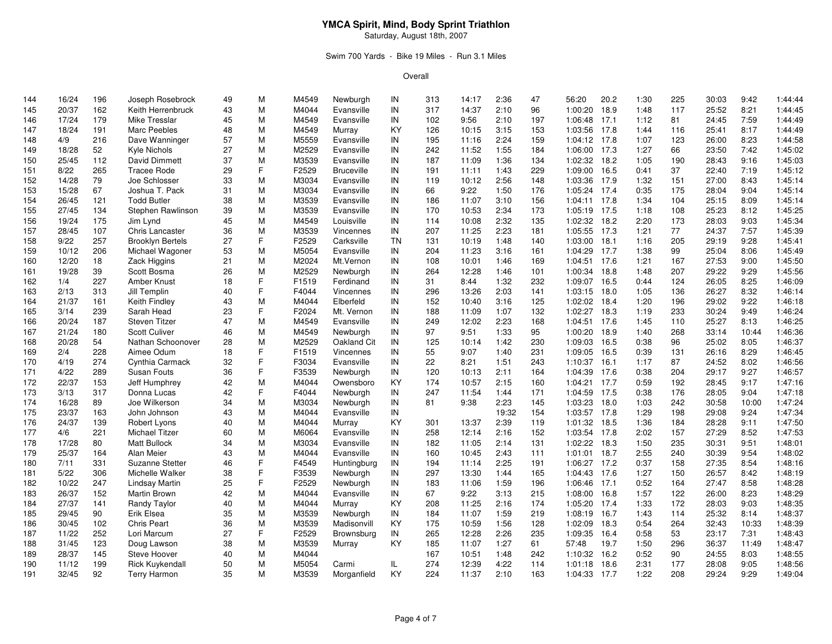#### Swim 700 Yards - Bike 19 Miles - Run 3.1 Miles

| 144 | 16/24 | 196 | Joseph Rosebrock        | 49 | М  | M4549 | Newburgh          | IN        | 313 | 14:17 | 2:36  | 47  | 56:20        | 20.2 | 1:30 | 225 | 30:03 | 9:42  | 1:44:44 |
|-----|-------|-----|-------------------------|----|----|-------|-------------------|-----------|-----|-------|-------|-----|--------------|------|------|-----|-------|-------|---------|
| 145 | 20/37 | 162 | Keith Herrenbruck       | 43 | M  | M4044 | Evansville        | IN        | 317 | 14:37 | 2:10  | 96  | 1:00:20 18.9 |      | 1:48 | 117 | 25:52 | 8:21  | 1:44:45 |
| 146 | 17/24 | 179 | Mike Tresslar           | 45 | M  | M4549 | Evansville        | IN        | 102 | 9:56  | 2:10  | 197 | 1:06:48      | 17.1 | 1:12 | 81  | 24:45 | 7:59  | 1:44:49 |
| 147 | 18/24 | 191 | Marc Peebles            | 48 | M  | M4549 | Murray            | KY        | 126 | 10:15 | 3:15  | 153 | 1:03:56      | 17.8 | 1:44 | 116 | 25:41 | 8:17  | 1:44:49 |
| 148 | 4/9   | 216 | Dave Wanninger          | 57 | M  | M5559 | Evansville        | IN        | 195 | 11:16 | 2:24  | 159 | 1:04:12 17.8 |      | 1:07 | 123 | 26:00 | 8:23  | 1:44:58 |
| 149 | 18/28 | 52  | Kyle Nichols            | 27 | M  | M2529 | Evansville        | IN        | 242 | 11:52 | 1:55  | 184 | 1:06:00 17.3 |      | 1:27 | 66  | 23:50 | 7:42  | 1:45:02 |
| 150 | 25/45 | 112 | David Dimmett           | 37 | M  | M3539 | Evansville        | IN        | 187 | 11:09 | 1:36  | 134 | 1:02:32 18.2 |      | 1:05 | 190 | 28:43 | 9:16  | 1:45:03 |
| 151 | 8/22  | 265 | <b>Tracee Rode</b>      | 29 | F. | F2529 | <b>Bruceville</b> | IN        | 191 | 11:11 | 1:43  | 229 | 1:09:00      | 16.5 | 0:41 | 37  | 22:40 | 7:19  | 1:45:12 |
| 152 | 14/28 | 79  | Joe Schlosser           | 33 | M  | M3034 | Evansville        | IN        | 119 | 10:12 | 2:56  | 148 | 1:03:36 17.9 |      | 1:32 | 151 | 27:00 | 8:43  | 1:45:14 |
| 153 | 15/28 | 67  | Joshua T. Pack          | 31 | M  | M3034 | Evansville        | IN        | 66  | 9:22  | 1:50  | 176 | 1:05:24 17.4 |      | 0:35 | 175 | 28:04 | 9:04  | 1:45:14 |
| 154 | 26/45 | 121 | <b>Todd Butler</b>      | 38 | M  | M3539 | Evansville        | IN        | 186 | 11:07 | 3:10  | 156 | 1:04:11 17.8 |      | 1:34 | 104 | 25:15 | 8:09  | 1:45:14 |
| 155 | 27/45 | 134 | Stephen Rawlinson       | 39 | M  | M3539 | Evansville        | IN        | 170 | 10:53 | 2:34  | 173 | 1:05:19 17.5 |      | 1:18 | 108 | 25:23 | 8:12  | 1:45:25 |
| 156 | 19/24 | 175 | Jim Lynd                | 45 | M  | M4549 | Louisville        | IN        | 114 | 10:08 | 2:32  | 135 | 1:02:32 18.2 |      | 2:20 | 173 | 28:03 | 9:03  | 1:45:34 |
| 157 | 28/45 | 107 | Chris Lancaster         | 36 | M  | M3539 | Vincennes         | IN        | 207 | 11:25 | 2:23  | 181 | 1:05:55 17.3 |      | 1:21 | 77  | 24:37 | 7:57  | 1:45:39 |
| 158 | 9/22  | 257 | <b>Brooklyn Bertels</b> | 27 | F  | F2529 | Carksville        | <b>TN</b> | 131 | 10:19 | 1:48  | 140 | 1:03:00      | 18.1 | 1:16 | 205 | 29:19 | 9:28  | 1:45:41 |
| 159 | 10/12 | 206 | Michael Wagoner         | 53 | M  | M5054 | Evansville        | IN        | 204 | 11:23 | 3:16  | 161 | 1:04:29      | 17.7 | 1:38 | 99  | 25:04 | 8:06  | 1:45:49 |
| 160 | 12/20 | 18  | Zack Higgins            | 21 | M  | M2024 | Mt.Vernon         | IN        | 108 | 10:01 | 1:46  | 169 | 1:04:51 17.6 |      | 1:21 | 167 | 27:53 | 9:00  | 1:45:50 |
| 161 | 19/28 | 39  | Scott Bosma             | 26 | M  | M2529 | Newburgh          | IN        | 264 | 12:28 | 1:46  | 101 | 1:00:34 18.8 |      | 1:48 | 207 | 29:22 | 9:29  | 1:45:56 |
| 162 | 1/4   | 227 | Amber Knust             | 18 | F. | F1519 | Ferdinand         | IN        | 31  | 8:44  | 1:32  | 232 | 1:09:07 16.5 |      | 0:44 | 124 | 26:05 | 8:25  | 1:46:09 |
| 163 | 2/13  | 313 | Jill Templin            | 40 | F. | F4044 | Vincennes         | IN        | 296 | 13:26 | 2:03  | 141 | 1:03:15 18.0 |      | 1:05 | 136 | 26:27 | 8:32  | 1:46:14 |
| 164 | 21/37 | 161 | Keith Findley           | 43 | M  | M4044 | Elberfeld         | IN        | 152 | 10:40 | 3:16  | 125 | 1:02:02 18.4 |      | 1:20 | 196 | 29:02 | 9:22  | 1:46:18 |
| 165 | 3/14  | 239 | Sarah Head              | 23 | F. | F2024 | Mt. Vernon        | IN        | 188 | 11:09 | 1:07  | 132 | 1:02:27 18.3 |      | 1:19 | 233 | 30:24 | 9:49  | 1:46:24 |
| 166 | 20/24 | 187 | <b>Steven Titzer</b>    | 47 | M  | M4549 | Evansville        | IN        | 249 | 12:02 | 2:23  | 168 | 1:04:51 17.6 |      | 1:45 | 110 | 25:27 | 8:13  | 1:46:25 |
| 167 | 21/24 | 180 | <b>Scott Culiver</b>    | 46 | M  | M4549 | Newburgh          | IN        | 97  | 9:51  | 1:33  | 95  | 1:00:20 18.9 |      | 1:40 | 268 | 33:14 | 10:44 | 1:46:36 |
| 168 | 20/28 | 54  | Nathan Schoonover       | 28 | M  | M2529 | Oakland Cit       | IN        | 125 | 10:14 | 1:42  | 230 | 1:09:03      | 16.5 | 0:38 | 96  | 25:02 | 8:05  | 1:46:37 |
| 169 | 2/4   | 228 | Aimee Odum              | 18 | F. | F1519 | Vincennes         | IN        | 55  | 9:07  | 1:40  | 231 | 1:09:05      | 16.5 | 0:39 | 131 | 26:16 | 8:29  | 1:46:45 |
| 170 | 4/19  | 274 | Cynthia Carmack         | 32 | F. | F3034 | Evansville        | IN        | 22  | 8:21  | 1:51  | 243 | 1:10:37 16.1 |      | 1:17 | 87  | 24:52 | 8:02  | 1:46:56 |
| 171 | 4/22  | 289 | Susan Fouts             | 36 | F. | F3539 | Newburgh          | IN        | 120 | 10:13 | 2:11  | 164 | 1:04:39 17.6 |      | 0:38 | 204 | 29:17 | 9:27  | 1:46:57 |
| 172 | 22/37 | 153 | Jeff Humphrey           | 42 | M  | M4044 | Owensboro         | KY        | 174 | 10:57 | 2:15  | 160 | 1:04:21 17.7 |      | 0:59 | 192 | 28:45 | 9:17  | 1:47:16 |
| 173 | 3/13  | 317 | Donna Lucas             | 42 | F. | F4044 | Newburgh          | IN        | 247 | 11:54 | 1:44  | 171 | 1:04:59 17.5 |      | 0:38 | 176 | 28:05 | 9:04  | 1:47:18 |
| 174 | 16/28 | 89  | Joe Wilkerson           | 34 | M  | M3034 | Newburgh          | IN        | 81  | 9:38  | 2:23  | 145 | 1:03:23 18.0 |      | 1:03 | 242 | 30:58 | 10:00 | 1:47:24 |
| 175 | 23/37 | 163 | John Johnson            | 43 | M  | M4044 | Evansville        | IN        |     |       | 19:32 | 154 | 1:03:57 17.8 |      | 1:29 | 198 | 29:08 | 9:24  | 1:47:34 |
| 176 | 24/37 | 139 | Robert Lyons            | 40 | M  | M4044 | Murray            | KY        | 301 | 13:37 | 2:39  | 119 | 1:01:32      | 18.5 | 1:36 | 184 | 28:28 | 9:11  | 1:47:50 |
| 177 | 4/6   | 221 | Michael Titzer          | 60 | M  | M6064 | Evansville        | IN        | 258 | 12:14 | 2:16  | 152 | 1:03:54 17.8 |      | 2:02 | 157 | 27:29 | 8:52  | 1:47:53 |
| 178 | 17/28 | 80  | <b>Matt Bullock</b>     | 34 | M  | M3034 | Evansville        | IN        | 182 | 11:05 | 2:14  | 131 | 1:02:22      | 18.3 | 1:50 | 235 | 30:31 | 9:51  | 1:48:01 |
| 179 | 25/37 | 164 | Alan Meier              | 43 | M  | M4044 | Evansville        | IN        | 160 | 10:45 | 2:43  | 111 | 1:01:01 18.7 |      | 2:55 | 240 | 30:39 | 9:54  | 1:48:02 |
| 180 | 7/11  | 331 | <b>Suzanne Stetter</b>  | 46 | F. | F4549 | Huntingburg       | IN        | 194 | 11:14 | 2:25  | 191 | 1:06:27 17.2 |      | 0:37 | 158 | 27:35 | 8:54  | 1:48:16 |
| 181 | 5/22  | 306 | Michelle Walker         | 38 | F. | F3539 | Newburgh          | IN        | 297 | 13:30 | 1:44  | 165 | 1:04:43 17.6 |      | 1:27 | 150 | 26:57 | 8:42  | 1:48:19 |
| 182 | 10/22 | 247 | Lindsay Martin          | 25 | F. | F2529 | Newburgh          | IN        | 183 | 11:06 | 1:59  | 196 | 1:06:46      | 17.1 | 0:52 | 164 | 27:47 | 8:58  | 1:48:28 |
| 183 | 26/37 | 152 | Martin Brown            | 42 | M  | M4044 | Evansville        | IN        | 67  | 9:22  | 3:13  | 215 | 1:08:00 16.8 |      | 1:57 | 122 | 26:00 | 8:23  | 1:48:29 |
| 184 | 27/37 | 141 | Randy Taylor            | 40 | M  | M4044 | Murray            | KY        | 208 | 11:25 | 2:16  | 174 | 1:05:20 17.4 |      | 1:33 | 172 | 28:03 | 9:03  | 1:48:35 |
| 185 | 29/45 | 90  | Erik Elsea              | 35 | M  | M3539 | Newburgh          | IN        | 184 | 11:07 | 1:59  | 219 | 1:08:19 16.7 |      | 1:43 | 114 | 25:32 | 8:14  | 1:48:37 |
| 186 | 30/45 | 102 | <b>Chris Peart</b>      | 36 | M  | M3539 | Madisonvill       | KY        | 175 | 10:59 | 1:56  | 128 | 1:02:09      | 18.3 | 0:54 | 264 | 32:43 | 10:33 | 1:48:39 |
| 187 | 11/22 | 252 | Lori Marcum             | 27 | F. | F2529 | Brownsburg        | IN        | 265 | 12:28 | 2:26  | 235 | 1:09:35      | 16.4 | 0:58 | 53  | 23:17 | 7:31  | 1:48:43 |
| 188 | 31/45 | 123 | Doug Lawson             | 38 | M  | M3539 | Murray            | KY        | 185 | 11:07 | 1:27  | 61  | 57:48        | 19.7 | 1:50 | 296 | 36:37 | 11:49 | 1:48:47 |
| 189 | 28/37 | 145 | Steve Hoover            | 40 | M  | M4044 |                   |           | 167 | 10:51 | 1:48  | 242 | 1:10:32      | 16.2 | 0:52 | 90  | 24:55 | 8:03  | 1:48:55 |
| 190 | 11/12 | 199 | <b>Rick Kuykendall</b>  | 50 | M  | M5054 | Carmi             | IL        | 274 | 12:39 | 4:22  | 114 | 1:01:18      | 18.6 | 2:31 | 177 | 28:08 | 9:05  | 1:48:56 |
| 191 | 32/45 | 92  | Terry Harmon            | 35 | M  | M3539 | Morganfield       | KY        | 224 | 11:37 | 2:10  | 163 | 1:04:33      | 17.7 | 1:22 | 208 | 29:24 | 9:29  | 1:49:04 |
|     |       |     |                         |    |    |       |                   |           |     |       |       |     |              |      |      |     |       |       |         |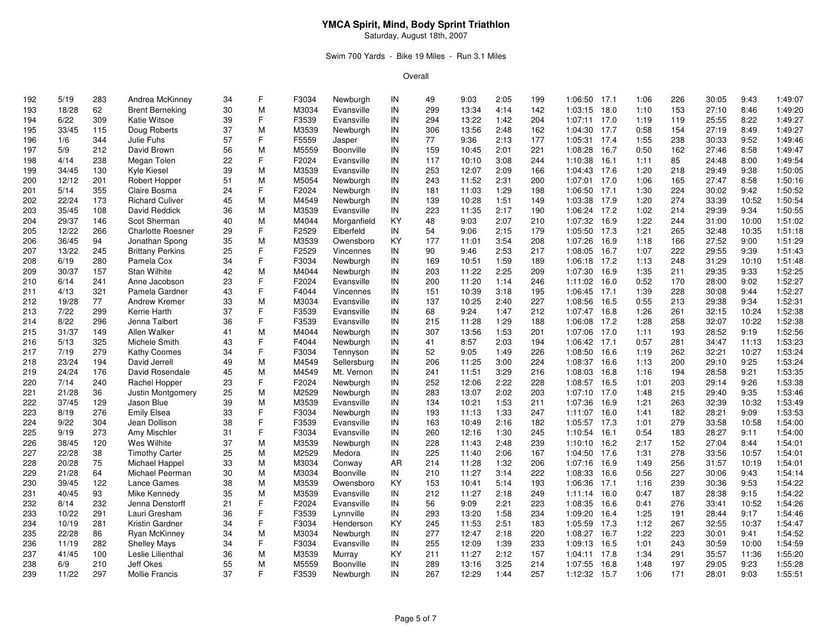#### Swim 700 Yards - Bike 19 Miles - Run 3.1 Miles

| 192 | 5/19  | 283 | Andrea McKinney          | 34 | F. | F3034 | Newburgh    | IN | 49  | 9:03  | 2:05 | 199 | 1:06:50 17.1   |      | 1:06 | 226 | 30:05 | 9:43  | 1:49:07 |
|-----|-------|-----|--------------------------|----|----|-------|-------------|----|-----|-------|------|-----|----------------|------|------|-----|-------|-------|---------|
| 193 | 18/28 | 62  | <b>Brent Berneking</b>   | 30 | M  | M3034 | Evansville  | IN | 299 | 13:34 | 4:14 | 142 | 1:03:15 18.0   |      | 1:10 | 153 | 27:10 | 8:46  | 1:49:20 |
| 194 | 6/22  | 309 | Katie Witsoe             | 39 | F  | F3539 | Evansville  | IN | 294 | 13:22 | 1:42 | 204 | 1:07:11 17.0   |      | 1:19 | 119 | 25:55 | 8:22  | 1:49:27 |
| 195 | 33/45 | 115 | Doug Roberts             | 37 | M  | M3539 | Newburgh    | IN | 306 | 13:56 | 2:48 | 162 | 1:04:30 17.7   |      | 0:58 | 154 | 27:19 | 8:49  | 1:49:27 |
| 196 | 1/6   | 344 | Julie Fuhs               | 57 | F  | F5559 | Jasper      | IN | 77  | 9:36  | 2:13 | 177 | 1:05:31 17.4   |      | 1:55 | 238 | 30:33 | 9:52  | 1:49:46 |
| 197 | 5/9   | 212 | David Brown              | 56 | M  | M5559 | Boonville   | IN | 159 | 10:45 | 2:01 | 221 | 1:08:28 16.7   |      | 0:50 | 162 | 27:46 | 8:58  | 1:49:47 |
| 198 | 4/14  | 238 | Megan Tolen              | 22 | F  | F2024 | Evansville  | IN | 117 | 10:10 | 3:08 | 244 | 1:10:38 16.1   |      | 1:11 | 85  | 24:48 | 8:00  | 1:49:54 |
| 199 | 34/45 | 130 | Kyle Kiesel              | 39 | M  | M3539 | Evansville  | IN | 253 | 12:07 | 2:09 | 166 | 1:04:43 17.6   |      | 1:20 | 218 | 29:49 | 9:38  | 1:50:05 |
| 200 | 12/12 | 201 | Robert Hopper            | 51 | M  | M5054 | Newburgh    | IN | 243 | 11:52 | 2:31 | 200 | 1:07:01 17.0   |      | 1:06 | 165 | 27:47 | 8:58  | 1:50:16 |
| 201 | 5/14  | 355 | Claire Bosma             | 24 | F  | F2024 | Newburgh    | IN | 181 | 11:03 | 1:29 | 198 | 1:06:50 17.1   |      | 1:30 | 224 | 30:02 | 9:42  | 1:50:52 |
| 202 | 22/24 | 173 | <b>Richard Culiver</b>   | 45 | M  | M4549 | Newburgh    | IN | 139 | 10:28 | 1:51 | 149 | 1:03:38 17.9   |      | 1:20 | 274 | 33:39 | 10:52 | 1:50:54 |
| 203 | 35/45 | 108 | David Reddick            | 36 | M  | M3539 | Evansville  | IN | 223 | 11:35 | 2:17 | 190 | 1:06:24 17.2   |      | 1:02 | 214 | 29:39 | 9:34  | 1:50:55 |
| 204 | 29/37 | 146 | Scot Sherman             | 40 | M  | M4044 | Morganfield | KY | 48  | 9:03  | 2:07 | 210 | 1:07:32        | 16.9 | 1:22 | 244 | 31:00 | 10:00 | 1:51:02 |
| 205 | 12/22 | 266 | <b>Charlotte Roesner</b> | 29 | F  | F2529 | Elberfeld   | IN | 54  | 9:06  | 2:15 | 179 | 1:05:50 17.3   |      | 1:21 | 265 | 32:48 | 10:35 | 1:51:18 |
| 206 | 36/45 | 94  | Jonathan Spong           | 35 | M  | M3539 | Owensboro   | KY | 177 | 11:01 | 3:54 | 208 | 1:07:26        | 16.9 | 1:18 | 166 | 27:52 | 9:00  | 1:51:29 |
| 207 | 13/22 | 245 | <b>Brittany Perkins</b>  | 25 | F  | F2529 | Vincennes   | IN | 90  | 9:46  | 2:53 | 217 | 1:08:05        | 16.7 | 1:07 | 222 | 29:55 | 9:39  | 1:51:43 |
| 208 | 6/19  | 280 | Pamela Cox               | 34 | F  | F3034 | Newburgh    | IN | 169 | 10:51 | 1:59 | 189 | 1:06:18 17.2   |      | 1:13 | 248 | 31:29 | 10:10 | 1:51:48 |
| 209 | 30/37 | 157 | Stan Wilhite             | 42 | M  | M4044 | Newburgh    | IN | 203 | 11:22 | 2:25 | 209 | 1:07:30 16.9   |      | 1:35 | 211 | 29:35 | 9:33  | 1:52:25 |
| 210 | 6/14  | 241 | Anne Jacobson            | 23 | F  | F2024 | Evansville  | IN | 200 | 11:20 | 1:14 | 246 | 1:11:02 16.0   |      | 0:52 | 170 | 28:00 | 9:02  | 1:52:27 |
| 211 | 4/13  | 321 | Pamela Gardner           | 43 | F  | F4044 | Vincennes   | IN | 151 | 10:39 | 3:18 | 195 | 1:06:45 17.1   |      | 1:39 | 228 | 30:08 | 9:44  | 1:52:27 |
| 212 | 19/28 | 77  | Andrew Kremer            | 33 | M  | M3034 | Evansville  | IN | 137 | 10:25 | 2:40 | 227 | 1:08:56 16.5   |      | 0:55 | 213 | 29:38 | 9:34  | 1:52:31 |
| 213 | 7/22  | 299 | Kerrie Harth             | 37 | F. | F3539 | Evansville  | IN | 68  | 9:24  | 1:47 | 212 | 1:07:47 16.8   |      | 1:26 | 261 | 32:15 | 10:24 | 1:52:38 |
| 214 | 8/22  | 296 | Jenna Talbert            | 36 | F  | F3539 | Evansville  | IN | 215 | 11:28 | 1:29 | 188 | 1:06:08 17.2   |      | 1:28 | 258 | 32:07 | 10:22 | 1:52:38 |
| 215 | 31/37 | 149 | Allen Walker             | 41 | M  | M4044 | Newburgh    | IN | 307 | 13:56 | 1:53 | 201 | 1:07:06        | 17.0 | 1:11 | 193 | 28:52 | 9:19  | 1:52:56 |
| 216 | 5/13  | 325 | Michele Smith            | 43 | F  | F4044 | Newburgh    | IN | 41  | 8:57  | 2:03 | 194 | 1:06:42 17.1   |      | 0:57 | 281 | 34:47 | 11:13 | 1:53:23 |
| 217 | 7/19  | 279 | <b>Kathy Coomes</b>      | 34 | F  | F3034 | Tennyson    | IN | 52  | 9:05  | 1:49 | 226 | 1:08:50        | 16.6 | 1:19 | 262 | 32:21 | 10:27 | 1:53:24 |
| 218 | 23/24 | 194 | David Jerrell            | 49 | M  | M4549 | Sellersburg | IN | 206 | 11:25 | 3:00 | 224 | 1:08:37 16.6   |      | 1:13 | 200 | 29:10 | 9:25  | 1:53:24 |
| 219 | 24/24 | 176 | David Rosendale          | 45 | M  | M4549 | Mt. Vernon  | IN | 241 | 11:51 | 3:29 | 216 | 1:08:03        | 16.8 | 1:16 | 194 | 28:58 | 9:21  | 1:53:35 |
| 220 | 7/14  | 240 | Rachel Hopper            | 23 | F  | F2024 | Newburgh    | IN | 252 | 12:06 | 2:22 | 228 | 1:08:57 16.5   |      | 1:01 | 203 | 29:14 | 9:26  | 1:53:38 |
| 221 | 21/28 | 36  | Justin Montgomery        | 25 | M  | M2529 | Newburgh    | IN | 283 | 13:07 | 2:02 | 203 | 1:07:10 17.0   |      | 1:48 | 215 | 29:40 | 9:35  | 1:53:46 |
| 222 | 37/45 | 129 | Jason Blue               | 39 | M  | M3539 | Evansville  | IN | 134 | 10:21 | 1:53 | 211 | 1:07:36 16.9   |      | 1:21 | 263 | 32:39 | 10:32 | 1:53:49 |
| 223 | 8/19  | 276 | <b>Emily Elsea</b>       | 33 | F  | F3034 | Newburgh    | IN | 193 | 11:13 | 1:33 | 247 | 1:11:07 16.0   |      | 1:41 | 182 | 28:21 | 9:09  | 1:53:53 |
| 224 | 9/22  | 304 | Jean Dollison            | 38 | F  | F3539 | Evansville  | IN | 163 | 10:49 | 2:16 | 182 | 1:05:57        | 17.3 | 1:01 | 279 | 33:58 | 10:58 | 1:54:00 |
| 225 | 9/19  | 273 | Amy Mischler             | 31 | F  | F3034 | Evansville  | IN | 260 | 12:16 | 1:30 | 245 | 1:10:54        | 16.1 | 0:54 | 183 | 28:27 | 9:11  | 1:54:00 |
| 226 | 38/45 | 120 | Wes Wilhite              | 37 | M  | M3539 | Newburgh    | IN | 228 | 11:43 | 2:48 | 239 | 1:10:10        | 16.2 | 2:17 | 152 | 27:04 | 8:44  | 1:54:01 |
| 227 | 22/28 | 38  | <b>Timothy Carter</b>    | 25 | M  | M2529 | Medora      | IN | 225 | 11:40 | 2:06 | 167 | 1:04:50 17.6   |      | 1:31 | 278 | 33:56 | 10:57 | 1:54:01 |
| 228 | 20/28 | 75  | Michael Happel           | 33 | M  | M3034 | Conway      | AR | 214 | 11:28 | 1:32 | 206 | 1:07:16        | 16.9 | 1:49 | 256 | 31:57 | 10:19 | 1:54:01 |
| 229 | 21/28 | 64  | Michael Peerman          | 30 | M  | M3034 | Boonville   | IN | 210 | 11:27 | 3:14 | 222 | 1:08:33        | 16.6 | 0:56 | 227 | 30:06 | 9:43  | 1:54:14 |
| 230 | 39/45 | 122 | Lance Games              | 38 | M  | M3539 | Owensboro   | KY | 153 | 10:41 | 5:14 | 193 | 1:06:36        | 17.1 | 1:16 | 239 | 30:36 | 9:53  | 1:54:22 |
| 231 | 40/45 | 93  | Mike Kennedy             | 35 | M  | M3539 | Evansville  | IN | 212 | 11:27 | 2:18 | 249 | $1:11:14$ 16.0 |      | 0:47 | 187 | 28:38 | 9:15  | 1:54:22 |
| 232 | 8/14  | 232 | Jenna Denstorff          | 21 | F. | F2024 | Evansville  | IN | 56  | 9:09  | 2:21 | 223 | 1:08:35        | 16.6 | 0:41 | 276 | 33:41 | 10:52 | 1:54:26 |
| 233 | 10/22 | 291 | Lauri Gresham            | 36 | F. | F3539 | Lynnville   | IN | 293 | 13:20 | 1:58 | 234 | 1:09:20 16.4   |      | 1:25 | 191 | 28:44 | 9:17  | 1:54:46 |
| 234 | 10/19 | 281 | Kristin Gardner          | 34 | F  | F3034 | Henderson   | KY | 245 | 11:53 | 2:51 | 183 | 1:05:59        | 17.3 | 1:12 | 267 | 32:55 | 10:37 | 1:54:47 |
| 235 | 22/28 | 86  | Ryan McKinney            | 34 | M  | M3034 | Newburgh    | IN | 277 | 12:47 | 2:18 | 220 | 1:08:27        | 16.7 | 1:22 | 223 | 30:01 | 9:41  | 1:54:52 |
| 236 | 11/19 | 282 | <b>Shelley Mays</b>      | 34 | F  | F3034 | Evansville  | IN | 255 | 12:09 | 1:39 | 233 | 1:09:13 16.5   |      | 1:01 | 243 | 30:59 | 10:00 | 1:54:59 |
| 237 | 41/45 | 100 | Leslie Lilienthal        | 36 | M  | M3539 | Murray      | KY | 211 | 11:27 | 2:12 | 157 | 1:04:11        | 17.8 | 1:34 | 291 | 35:57 | 11:36 | 1:55:20 |
| 238 | 6/9   | 210 | Jeff Okes                | 55 | M  | M5559 | Boonville   | IN | 289 | 13:16 | 3:25 | 214 | 1:07:55        | 16.8 | 1:48 | 197 | 29:05 | 9:23  | 1:55:28 |
| 239 | 11/22 | 297 | <b>Mollie Francis</b>    | 37 | F. | F3539 | Newburgh    | IN | 267 | 12:29 | 1:44 | 257 | 1:12:32        | 15.7 | 1:06 | 171 | 28:01 | 9:03  | 1:55:51 |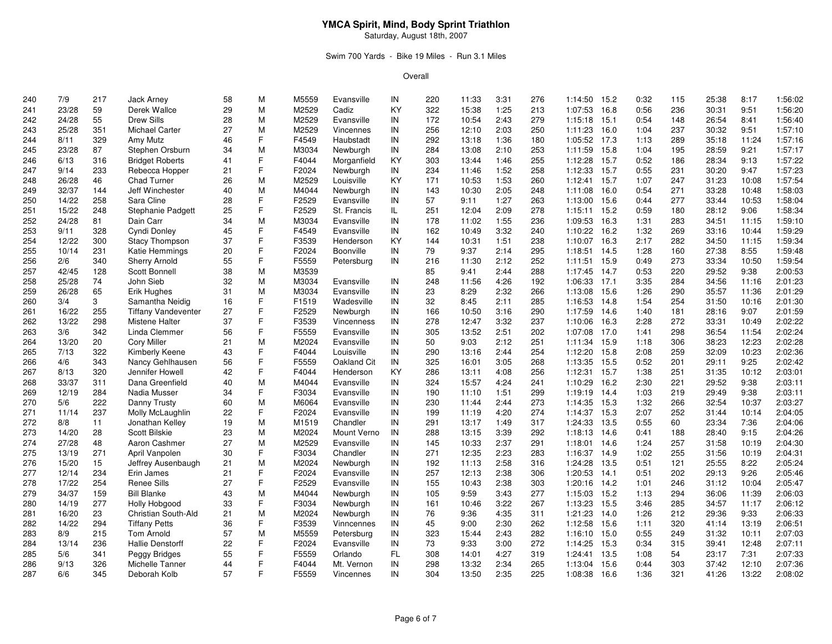### Swim 700 Yards - Bike 19 Miles - Run 3.1 Miles

| 240 | 7/9   | 217 | Jack Arney                 | 58 | M  | M5559 | Evansville        | IN  | 220 | 11:33 | 3:31 | 276 | 1:14:50      | 15.2 | 0:32 | 115 | 25:38 | 8:17  | 1:56:02 |
|-----|-------|-----|----------------------------|----|----|-------|-------------------|-----|-----|-------|------|-----|--------------|------|------|-----|-------|-------|---------|
| 241 | 23/28 | 59  | Derek Wallce               | 29 | M  | M2529 | Cadiz             | KY  | 322 | 15:38 | 1:25 | 213 | 1:07:53      | 16.8 | 0:56 | 236 | 30:31 | 9:51  | 1:56:20 |
| 242 | 24/28 | 55  | <b>Drew Sills</b>          | 28 | M  | M2529 | Evansville        | IN  | 172 | 10:54 | 2:43 | 279 | 1:15:18      | 15.1 | 0:54 | 148 | 26:54 | 8:41  | 1:56:40 |
| 243 | 25/28 | 351 | Michael Carter             | 27 | M  | M2529 | Vincennes         | IN  | 256 | 12:10 | 2:03 | 250 | 1:11:23      | 16.0 | 1:04 | 237 | 30:32 | 9:51  | 1:57:10 |
| 244 | 8/11  | 329 | Amy Mutz                   | 46 | F. | F4549 | Haubstadt         | IN  | 292 | 13:18 | 1:36 | 180 | 1:05:52 17.3 |      | 1:13 | 289 | 35:18 | 11:24 | 1:57:16 |
| 245 | 23/28 | 87  | Stephen Orsburn            | 34 | M  | M3034 | Newburgh          | IN  | 284 | 13:08 | 2:10 | 253 | 1:11:59      | 15.8 | 1:04 | 195 | 28:59 | 9:21  | 1:57:17 |
| 246 | 6/13  | 316 | <b>Bridget Roberts</b>     | 41 | F  | F4044 | Morganfield       | KY  | 303 | 13:44 | 1:46 | 255 | 1:12:28      | 15.7 | 0:52 | 186 | 28:34 | 9:13  | 1:57:22 |
|     | 9/14  | 233 |                            |    | F  |       |                   | IN  | 234 | 11:46 | 1:52 | 258 |              | 15.7 |      | 231 | 30:20 | 9:47  | 1:57:23 |
| 247 | 26/28 |     | Rebecca Hopper             | 21 | M  | F2024 | Newburgh          |     |     |       |      |     | 1:12:33      |      | 0:55 | 247 |       | 10:08 |         |
| 248 |       | 46  | <b>Chad Turner</b>         | 26 |    | M2529 | Louisville        | ΚY  | 171 | 10:53 | 1:53 | 260 | 1:12:41 15.7 |      | 1:07 |     | 31:23 |       | 1:57:54 |
| 249 | 32/37 | 144 | Jeff Winchester            | 40 | M  | M4044 | Newburgh          | IN  | 143 | 10:30 | 2:05 | 248 | 1:11:08      | 16.0 | 0:54 | 271 | 33:28 | 10:48 | 1:58:03 |
| 250 | 14/22 | 258 | Sara Cline                 | 28 | F  | F2529 | Evansville        | IN  | 57  | 9:11  | 1:27 | 263 | 1:13:00 15.6 |      | 0:44 | 277 | 33:44 | 10:53 | 1:58:04 |
| 251 | 15/22 | 248 | Stephanie Padgett          | 25 | F  | F2529 | St. Francis       | IL. | 251 | 12:04 | 2:09 | 278 | 1:15:11 15.2 |      | 0:59 | 180 | 28:12 | 9:06  | 1:58:34 |
| 252 | 24/28 | 81  | Dain Carr                  | 34 | M  | M3034 | Evansville        | IN  | 178 | 11:02 | 1:55 | 236 | 1:09:53      | 16.3 | 1:31 | 283 | 34:51 | 11:15 | 1:59:10 |
| 253 | 9/11  | 328 | Cyndi Donley               | 45 | F  | F4549 | Evansville        | IN  | 162 | 10:49 | 3:32 | 240 | 1:10:22      | 16.2 | 1:32 | 269 | 33:16 | 10:44 | 1:59:29 |
| 254 | 12/22 | 300 | <b>Stacy Thompson</b>      | 37 | F  | F3539 | Henderson         | KY  | 144 | 10:31 | 1:51 | 238 | 1:10:07      | 16.3 | 2:17 | 282 | 34:50 | 11:15 | 1:59:34 |
| 255 | 10/14 | 231 | Katie Hemmings             | 20 | F  | F2024 | Boonville         | IN  | 79  | 9:37  | 2:14 | 295 | 1:18:51 14.5 |      | 1:28 | 160 | 27:38 | 8:55  | 1:59:48 |
| 256 | 2/6   | 340 | <b>Sherry Arnold</b>       | 55 | E  | F5559 | Petersburg        | IN  | 216 | 11:30 | 2:12 | 252 | 1:11:51 15.9 |      | 0:49 | 273 | 33:34 | 10:50 | 1:59:54 |
| 257 | 42/45 | 128 | Scott Bonnell              | 38 | M  | M3539 |                   |     | 85  | 9:41  | 2:44 | 288 | 1:17:45 14.7 |      | 0:53 | 220 | 29:52 | 9:38  | 2:00:53 |
| 258 | 25/28 | 74  | John Sieb                  | 32 | м  | M3034 | Evansville        | IN  | 248 | 11:56 | 4:26 | 192 | 1:06:33 17.1 |      | 3:35 | 284 | 34:56 | 11:16 | 2:01:23 |
| 259 | 26/28 | 65  | Erik Hughes                | 31 | M  | M3034 | Evansville        | IN  | 23  | 8:29  | 2:32 | 266 | 1:13:08      | 15.6 | 1:26 | 290 | 35:57 | 11:36 | 2:01:29 |
| 260 | 3/4   | 3   | Samantha Neidig            | 16 | F  | F1519 | Wadesville        | IN  | 32  | 8:45  | 2:11 | 285 | 1:16:53      | 14.8 | 1:54 | 254 | 31:50 | 10:16 | 2:01:30 |
| 261 | 16/22 | 255 | <b>Tiffany Vandeventer</b> | 27 | F  | F2529 | Newburgh          | IN  | 166 | 10:50 | 3:16 | 290 | 1:17:59      | 14.6 | 1:40 | 181 | 28:16 | 9:07  | 2:01:59 |
| 262 | 13/22 | 298 | <b>Mistene Halter</b>      | 37 | F  | F3539 | <b>Vincenness</b> | IN  | 278 | 12:47 | 3:32 | 237 | 1:10:06      | 16.3 | 2:28 | 272 | 33:31 | 10:49 | 2:02:22 |
| 263 | $3/6$ | 342 | Linda Clemmer              | 56 | F  | F5559 | Evansville        | IN  | 305 | 13:52 | 2:51 | 202 | 1:07:08      | 17.0 | 1:41 | 298 | 36:54 | 11:54 | 2:02:24 |
| 264 | 13/20 | 20  | <b>Cory Miller</b>         | 21 | M  | M2024 | Evansville        | IN  | 50  | 9:03  | 2:12 | 251 | 1:11:34      | 15.9 | 1:18 | 306 | 38:23 | 12:23 | 2:02:28 |
| 265 | 7/13  | 322 | Kimberly Keene             | 43 | F  | F4044 | Louisville        | IN  | 290 | 13:16 | 2:44 | 254 | 1:12:20      | 15.8 | 2:08 | 259 | 32:09 | 10:23 | 2:02:36 |
| 266 | 4/6   | 343 | Nancy Gehlhausen           | 56 | F  | F5559 | Oakland Cit       | IN  | 325 | 16:01 | 3:05 | 268 | 1:13:35 15.5 |      | 0:52 | 201 | 29:11 | 9:25  | 2:02:42 |
| 267 | 8/13  | 320 | Jennifer Howell            | 42 | E  | F4044 | Henderson         | KY  | 286 | 13:11 | 4:08 | 256 | 1:12:31      | 15.7 | 1:38 | 251 | 31:35 | 10:12 | 2:03:01 |
| 268 | 33/37 | 311 | Dana Greenfield            | 40 | M  | M4044 | Evansville        | IN  | 324 | 15:57 | 4:24 | 241 | 1:10:29 16.2 |      | 2:30 | 221 | 29:52 | 9:38  | 2:03:11 |
| 269 | 12/19 | 284 | Nadia Musser               | 34 | F  | F3034 | Evansville        | IN  | 190 | 11:10 | 1:51 | 299 | 1:19:19      | 14.4 | 1:03 | 219 | 29:49 | 9:38  | 2:03:11 |
| 270 | 5/6   | 222 | Danny Trusty               | 60 | M  | M6064 | Evansville        | IN  | 230 | 11:44 | 2:44 | 273 | 1:14:35 15.3 |      | 1:32 | 266 | 32:54 | 10:37 | 2:03:27 |
| 271 | 11/14 | 237 | Molly McLaughlin           | 22 | F. | F2024 | Evansville        | IN  | 199 | 11:19 | 4:20 | 274 | 1:14:37 15.3 |      | 2:07 | 252 | 31:44 | 10:14 | 2:04:05 |
| 272 | 8/8   | 11  | Jonathan Kelley            | 19 | M  | M1519 | Chandler          | IN  | 291 | 13:17 | 1:49 | 317 | 1:24:33      | 13.5 | 0:55 | 60  | 23:34 | 7:36  | 2:04:06 |
| 273 | 14/20 | 28  | <b>Scott Bilskie</b>       | 23 | M  | M2024 | Mount Verno       | IN  | 288 | 13:15 | 3:39 | 292 | 1:18:13 14.6 |      | 0:41 | 188 | 28:40 | 9:15  | 2:04:26 |
| 274 | 27/28 | 48  | Aaron Cashmer              | 27 | M  | M2529 | Evansville        | IN  | 145 | 10:33 | 2:37 | 291 | 1:18:01      | 14.6 | 1:24 | 257 | 31:58 | 10:19 | 2:04:30 |
| 275 | 13/19 | 271 | April Vanpolen             | 30 | F  | F3034 | Chandler          | IN  | 271 | 12:35 | 2:23 | 283 | 1:16:37 14.9 |      | 1:02 | 255 | 31:56 | 10:19 | 2:04:31 |
| 276 | 15/20 | 15  | Jeffrey Ausenbaugh         | 21 | M  | M2024 | Newburgh          | IN  | 192 | 11:13 | 2:58 | 316 | 1:24:28      | 13.5 | 0:51 | 121 | 25:55 | 8:22  | 2:05:24 |
| 277 | 12/14 | 234 | Erin James                 | 21 | F  | F2024 | Evansville        | IN  | 257 | 12:13 | 2:38 | 306 | 1:20:53      | 14.1 | 0:51 | 202 | 29:13 | 9:26  | 2:05:46 |
| 278 | 17/22 | 254 | <b>Renee Sills</b>         | 27 | F  | F2529 | Evansville        | IN  | 155 | 10:43 | 2:38 | 303 | 1:20:16 14.2 |      | 1:01 | 246 | 31:12 | 10:04 | 2:05:47 |
| 279 | 34/37 | 159 | <b>Bill Blanke</b>         | 43 | M  | M4044 | Newburgh          | IN  | 105 | 9:59  | 3:43 | 277 | 1:15:03      | 15.2 | 1:13 | 294 | 36:06 | 11:39 | 2:06:03 |
| 280 | 14/19 | 277 |                            | 33 | F  | F3034 |                   | IN  | 161 | 10:46 |      | 267 |              | 15.5 | 3:46 | 285 |       | 11:17 | 2:06:12 |
|     |       |     | Holly Hobgood              |    |    |       | Newburgh          |     |     |       | 3:22 |     | 1:13:23      |      |      |     | 34:57 |       |         |
| 281 | 16/20 | 23  | Christian South-Ald        | 21 | M  | M2024 | Newburgh          | IN  | 76  | 9:36  | 4:35 | 311 | 1:21:23      | 14.0 | 1:26 | 212 | 29:36 | 9:33  | 2:06:33 |
| 282 | 14/22 | 294 | <b>Tiffany Petts</b>       | 36 | F. | F3539 | Vinncennes        | IN  | 45  | 9:00  | 2:30 | 262 | 1:12:58      | 15.6 | 1:11 | 320 | 41:14 | 13:19 | 2:06:51 |
| 283 | 8/9   | 215 | <b>Tom Arnold</b>          | 57 | M  | M5559 | Petersburg        | IN  | 323 | 15:44 | 2:43 | 282 | 1:16:10      | 15.0 | 0:55 | 249 | 31:32 | 10:11 | 2:07:03 |
| 284 | 13/14 | 236 | <b>Hallie Denstorff</b>    | 22 | F  | F2024 | Evansville        | IN  | 73  | 9:33  | 3:00 | 272 | 1:14:25      | 15.3 | 0:34 | 315 | 39:41 | 12:48 | 2:07:11 |
| 285 | 5/6   | 341 | Peggy Bridges              | 55 | F  | F5559 | Orlando           | FL  | 308 | 14:01 | 4:27 | 319 | 1:24:41      | 13.5 | 1:08 | 54  | 23:17 | 7:31  | 2:07:33 |
| 286 | 9/13  | 326 | Michelle Tanner            | 44 | F  | F4044 | Mt. Vernon        | IN  | 298 | 13:32 | 2:34 | 265 | 1:13:04      | 15.6 | 0:44 | 303 | 37:42 | 12:10 | 2:07:36 |
| 287 | 6/6   | 345 | Deborah Kolb               | 57 | E  | F5559 | Vincennes         | IN  | 304 | 13:50 | 2:35 | 225 | 1:08:38      | 16.6 | 1:36 | 321 | 41:26 | 13:22 | 2:08:02 |